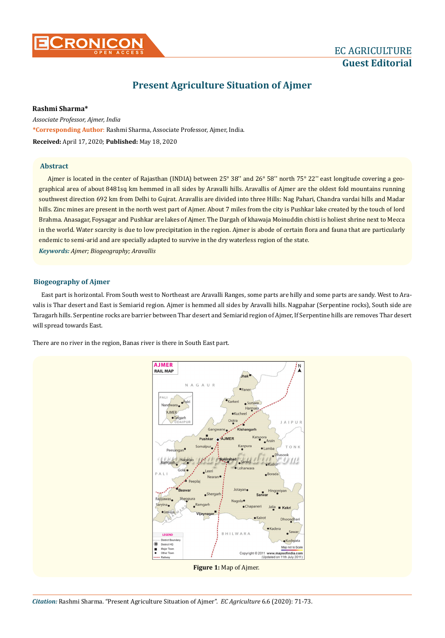

# **Guest Editorial**

## **Present Agriculture Situation of Ajmer**

**Rashmi Sharma\***

**\*Corresponding Author**: Rashmi Sharma, Associate Professor, Ajmer, India. *Associate Professor, Ajmer, India* **Received:** April 17, 2020; **Published:** May 18, 2020

### **Abstract**

Ajmer is located in the center of Rajasthan (INDIA) between 25° 38'' and 26° 58'' north 75° 22'' east longitude covering a geographical area of about 8481sq km hemmed in all sides by Aravalli hills. Aravallis of Ajmer are the oldest fold mountains running southwest direction 692 km from Delhi to Gujrat. Aravallis are divided into three Hills: Nag Pahari, Chandra vardai hills and Madar hills. Zinc mines are present in the north west part of Ajmer. About 7 miles from the city is Pushkar lake created by the touch of lord Brahma. Anasagar, Foysagar and Pushkar are lakes of Ajmer. The Dargah of khawaja Moinuddin chisti is holiest shrine next to Mecca in the world. Water scarcity is due to low precipitation in the region. Ajmer is abode of certain flora and fauna that are particularly endemic to semi-arid and are specially adapted to survive in the dry waterless region of the state.

*Keywords: Ajmer; Biogeography; Aravallis*

### **Biogeography of Ajmer**

East part is horizontal. From South west to Northeast are Aravalli Ranges, some parts are hilly and some parts are sandy. West to Aravalis is Thar desert and East is Semiarid region. Ajmer is hemmed all sides by Aravalli hills. Nagpahar (Serpentine rocks), South side are Taragarh hills. Serpentine rocks are barrier between Thar desert and Semiarid region of Ajmer, If Serpentine hills are removes Thar desert will spread towards East.

There are no river in the region, Banas river is there in South East part.

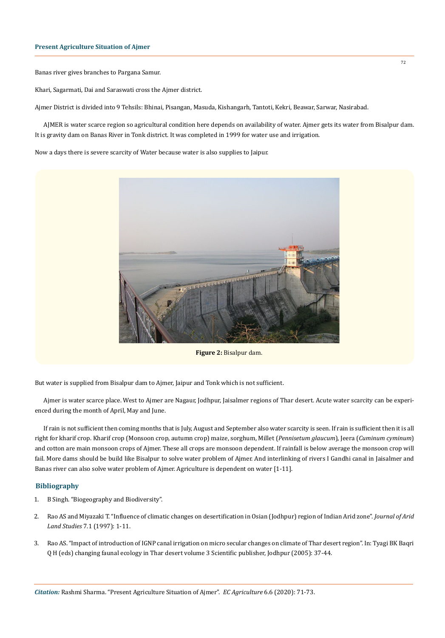Banas river gives branches to Pargana Samur.

Khari, Sagarmati, Dai and Saraswati cross the Ajmer district.

Ajmer District is divided into 9 Tehsils: Bhinai, Pisangan, Masuda, Kishangarh, Tantoti, Kekri, Beawar, Sarwar, Nasirabad.

AJMER is water scarce region so agricultural condition here depends on availability of water. Ajmer gets its water from Bisalpur dam. It is gravity dam on Banas River in Tonk district. It was completed in 1999 for water use and irrigation.

Now a days there is severe scarcity of Water because water is also supplies to Jaipur.



**Figure 2:** Bisalpur dam.

But water is supplied from Bisalpur dam to Ajmer, Jaipur and Tonk which is not sufficient.

Ajmer is water scarce place. West to Ajmer are Nagaur, Jodhpur, Jaisalmer regions of Thar desert. Acute water scarcity can be experienced during the month of April, May and June.

If rain is not sufficient then coming months that is July, August and September also water scarcity is seen. If rain is sufficient then it is all right for kharif crop. Kharif crop (Monsoon crop, autumn crop) maize, sorghum, Millet (*Pennisetum glaucum*), Jeera (*Cuminum cyminum*) and cotton are main monsoon crops of Ajmer. These all crops are monsoon dependent. If rainfall is below average the monsoon crop will fail. More dams should be build like Bisalpur to solve water problem of Ajmer. And interlinking of rivers I Gandhi canal in Jaisalmer and Banas river can also solve water problem of Ajmer. Agriculture is dependent on water [1-11].

#### **Bibliography**

- 1. B Singh. "Biogeography and Biodiversity".
- 2. Rao AS and Miyazaki T. "Influence of climatic changes on desertification in Osian (Jodhpur) region of Indian Arid zone". *Journal of Arid Land Studies* 7.1 (1997): 1-11.
- 3. Rao AS. "Impact of introduction of IGNP canal irrigation on micro secular changes on climate of Thar desert region". In: Tyagi BK Baqri Q H (eds) changing faunal ecology in Thar desert volume 3 Scientific publisher, Jodhpur (2005): 37-44.